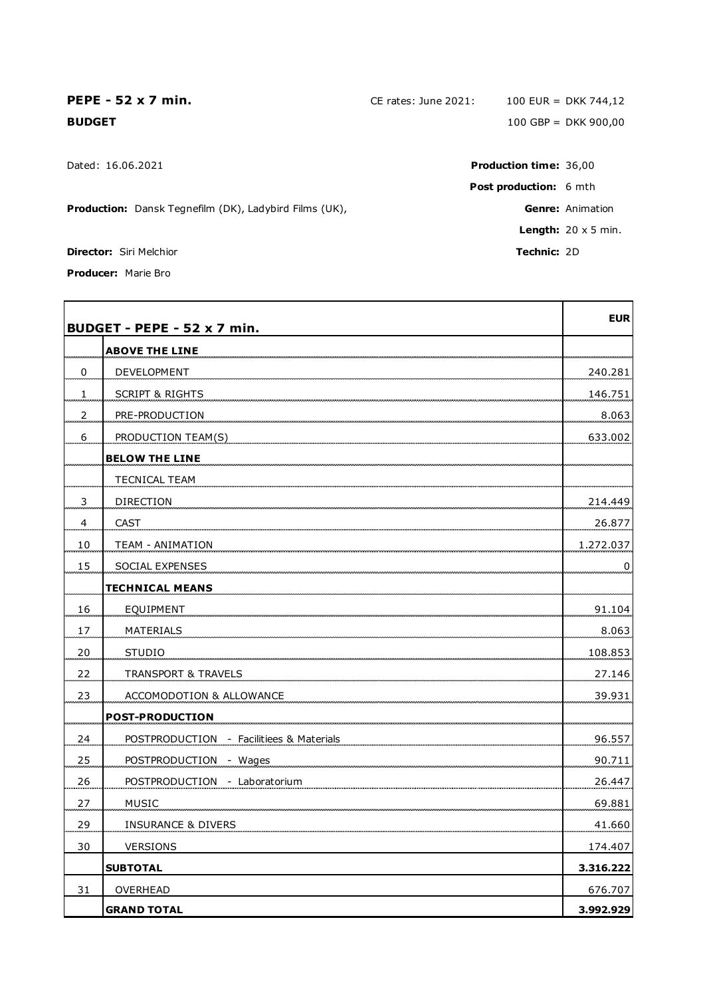**Production:** Dansk Tegnefilm (DK), Ladybird Films (UK), **Genre:** Animation **Genre:** Animation

**Director:** Siri Melchior **Technic:** 2D

**Producer:** Marie Bro

**BUDGET - PEPE - 52 x 7 min. EUR ABOVE THE LINE** 0 DEVELOPMENT 240.281 1 SCRIPT & RIGHTS 146.751 2 **PRE-PRODUCTION** 8.063 6 PRODUCTION TEAM(S) 633.002 **BELOW THE LINE** TECNICAL TEAM 3 DIRECTION 214.449 4 CAST 26.877 10 TEAM - ANIMATION 10 1.272.037 15 SOCIAL EXPENSES 0 **TECHNICAL MEANS** 16 EQUIPMENT 91.104 17 MATERIALS 8.063 20 STUDIO 108.853 22 TRANSPORT & TRAVELS 27.146 23 ACCOMODOTION & ALLOWANCE 23 ACCOMODOTION & ALLOWANCE **POST-PRODUCTION** 24 POSTPRODUCTION - Facilitiees & Materials **196.557** 96.557 25 POSTPRODUCTION - Wages 90.711 26 POSTPRODUCTION - Laboratorium 26.447 27 MUSIC 69.881 29 INSURANCE & DIVERS 41.660 30 VERSIONS 174.407 **SUBTOTAL 3.316.222** 31 OVERHEAD 676.707 **GRAND TOTAL 3.992.929**

**PEPE - 52 x 7 min.** CE rates: June 2021: 100 EUR = DKK 744,12 **BUDGET** 100 GBP = DKK 900,00

Dated: 16.06.2021 **Production time:** 36,00 **Post production:** 6 mth **Length:** 20 x 5 min.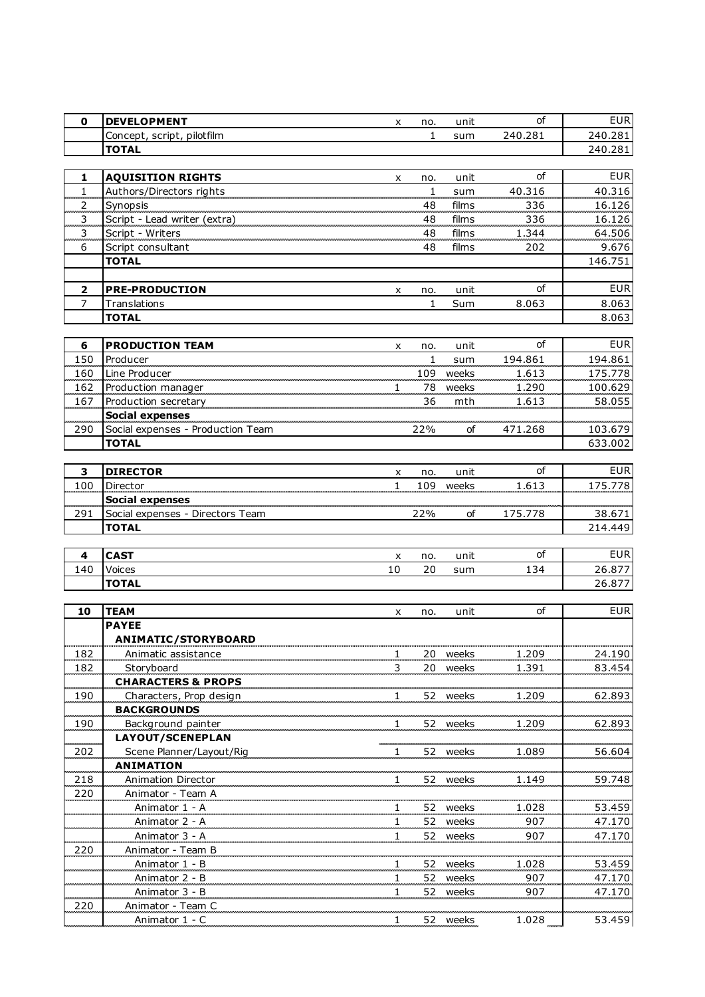| $\mathbf 0$                 | <b>DEVELOPMENT</b>                                 | x                   | no.                                   | unit     | οf                        | <b>EUR</b>              |
|-----------------------------|----------------------------------------------------|---------------------|---------------------------------------|----------|---------------------------|-------------------------|
|                             | Concept, script, pilotfilm                         |                     | $\mathbf{1}$                          | sum      | 240.281                   | 240.281                 |
|                             | <b>TOTAL</b>                                       |                     |                                       |          |                           | 240.281                 |
|                             |                                                    |                     |                                       |          |                           |                         |
| 1                           | <b>AQUISITION RIGHTS</b>                           | x                   | no.                                   | unit     | οf                        | <b>EUR</b>              |
| $\mathbf{1}$                | Authors/Directors rights                           |                     | $\mathbf{1}$                          | sum      | 40.316                    | 40.316                  |
| $\overline{a}$              | Synopsis<br>-------------------------------------- |                     | 48                                    | films    | 336                       | 16.126                  |
| $\overline{\mathbf{3}}$     | Script - Lead writer (extra)                       |                     | 48                                    | films    | 336                       | 16.126                  |
| 3                           | Script - Writers                                   |                     | 48                                    | films    | 1.344                     | 64.506                  |
| 6                           | Script consultant                                  |                     | 48                                    | films    | 202                       | 9.676                   |
|                             | <b>TOTAL</b>                                       |                     |                                       |          |                           | 146.751                 |
|                             |                                                    |                     |                                       |          |                           |                         |
| $\overline{2}$              | <b>PRE-PRODUCTION</b>                              | x                   | no.                                   | unit     | of                        | <b>EUR</b>              |
| $\overline{7}$              | Translations                                       |                     | $\mathbf{1}$                          | Sum      | 8.063                     | 8.063                   |
|                             | <b>TOTAL</b>                                       |                     |                                       |          |                           | 8.063                   |
|                             |                                                    |                     |                                       |          |                           |                         |
| 6                           | <b>PRODUCTION TEAM</b>                             | x                   | no.                                   | unit     | οf                        | <b>EUR</b>              |
| $150\,$                     | Producer                                           |                     | $\mathbf{1}$                          | sum      | 194.861                   | 194.861                 |
| 160                         | Line Producer                                      |                     | 109                                   | weeks    | 1.613                     | 175.778                 |
| 162                         | Production manager                                 | 1                   | 78                                    | weeks    | 1.290                     | 100.629                 |
| 167                         |                                                    |                     | 36                                    | mth      | 1.613                     | 58.055                  |
|                             | Social expenses                                    |                     |                                       |          |                           |                         |
| 290                         | Social expenses - Production Team                  |                     | 22%                                   | οf       | 471.268                   | 103.679                 |
|                             | <b>TOTAL</b>                                       |                     |                                       |          |                           | 633.002                 |
|                             |                                                    |                     |                                       |          |                           |                         |
| 3                           | <b>DIRECTOR</b>                                    | X                   | no.                                   | unit     | of                        | <b>EUR</b>              |
| 100                         | Director                                           | $\mathbf{1}$        | 109                                   | weeks    | 1.613                     | 175.778                 |
|                             | <b>Social expenses</b>                             |                     |                                       |          |                           |                         |
| 291                         | Social expenses - Directors Team                   |                     | 22%                                   | of       | 175.778                   | 38.671                  |
|                             | <b>TOTAL</b>                                       |                     |                                       |          |                           | 214.449                 |
|                             |                                                    |                     |                                       |          |                           |                         |
| 4                           | <b>CAST</b>                                        | x                   | no.                                   | unit     | οf                        | <b>EUR</b>              |
| 140                         | Voices                                             | 10                  | 20                                    | sum      | 134                       | 26.877                  |
|                             | <b>TOTAL</b>                                       |                     |                                       |          |                           | 26.877                  |
| 10                          | <b>TEAM</b>                                        |                     |                                       |          | οf                        | <b>EUR</b>              |
|                             | <b>PAYEE</b>                                       | x                   | no.                                   | unit     |                           |                         |
|                             | ANIMATIC/STORYBOARD                                |                     |                                       |          |                           |                         |
| <br>182                     | Animatic assistance                                |                     |                                       | 20 weeks | <br>1.209                 | <br>24.190              |
| 182                         | Storyboard                                         | 1<br>3              | 20                                    | weeks    | 1.391                     | 83.454                  |
|                             | <b>CHARACTERS &amp; PROPS</b>                      |                     |                                       |          |                           |                         |
| <b>Service State</b><br>190 | Characters, Prop design                            |                     | -------------------------------<br>52 | weeks    | بالمحمد بالمحادث<br>1.209 | -------------<br>62.893 |
|                             | <b>BACKGROUNDS</b>                                 |                     |                                       |          |                           |                         |
| .<br>190                    | Background painter                                 |                     | 52 -                                  | weeks    | <br>1.209                 | .<br>62.893             |
|                             | LAYOUT/SCENEPLAN                                   |                     |                                       |          |                           |                         |
| .<br>202                    | Scene Planner/Layout/Rig                           | 1                   | 52                                    | weeks    | 1.089                     | 56.604                  |
|                             |                                                    |                     |                                       |          |                           |                         |
| 218                         | <b>ANIMATION</b>                                   |                     |                                       |          |                           |                         |
|                             |                                                    | 1                   | 52                                    |          | 1.149                     |                         |
|                             | Animation Director                                 |                     |                                       | weeks    |                           | 59.748                  |
| 220                         | Animator - Team A                                  | 1                   |                                       |          |                           |                         |
|                             | Animator 1 - A                                     |                     | 52                                    | weeks    | 1.028                     | 53.459                  |
|                             | Animator 2 - A                                     | $\mathbf{1}$<br>1   | 52<br>52                              | weeks    | 907<br>907                | 47.170                  |
|                             | Animator 3 - A                                     |                     |                                       | weeks    |                           | 47.170                  |
| 220                         | Animator - Team B                                  |                     | 52                                    | weeks    | 1.028                     |                         |
|                             | Animator 1 - B<br>Animator 2 - B                   |                     | 52                                    | weeks    | 907                       | 53.459                  |
|                             | Animator 3 - B                                     | $\overline{1}$<br>1 | 52                                    | weeks    | 907                       | 47.170<br>47.170        |
|                             |                                                    |                     |                                       |          |                           |                         |
| 220                         | Animator - Team C<br>Animator 1 - C                | 1                   | 52                                    | weeks    | 1.028                     | 53.459                  |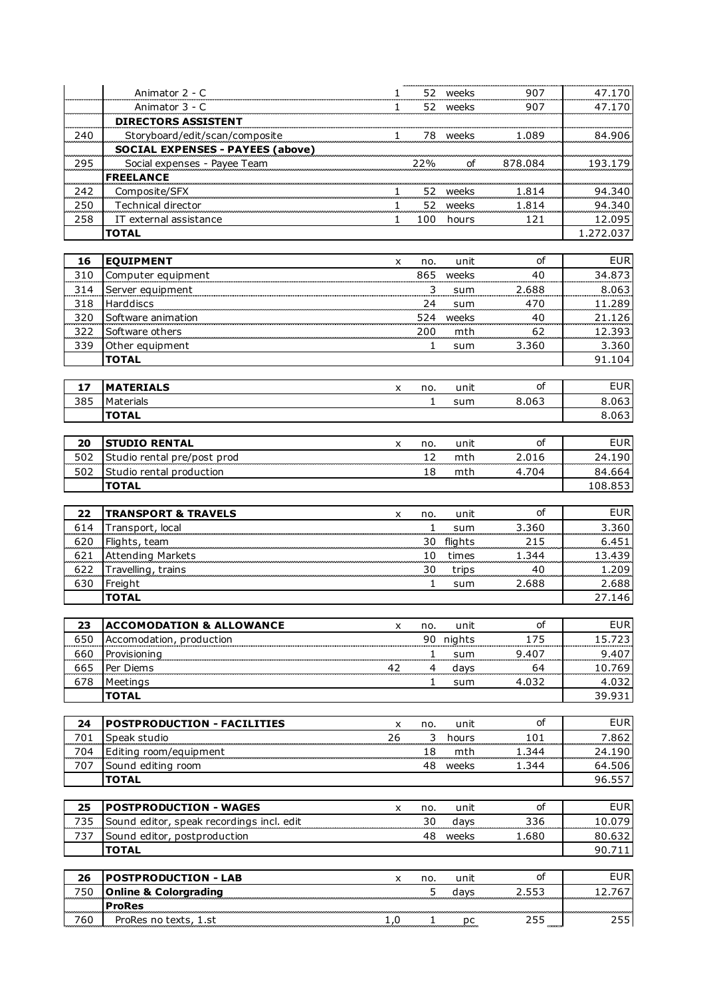|     | Animator 2 - C                                   | 1   |                         | 52 weeks | 907     | 47.170     |
|-----|--------------------------------------------------|-----|-------------------------|----------|---------|------------|
|     |                                                  |     |                         |          |         |            |
|     | Animator 3 - C                                   | 1   |                         | 52 weeks | 907     | 47.170     |
|     | <b>DIRECTORS ASSISTENT</b>                       |     |                         |          |         |            |
| 240 | Storyboard/edit/scan/composite                   | 1   |                         | 78 weeks | 1.089   | 84.906     |
|     | <b>SOCIAL EXPENSES - PAYEES (above)</b>          |     |                         |          |         |            |
| 295 | Social expenses - Payee Team<br><b>FREELANCE</b> |     | 22%                     | of       | 878.084 | 193.179    |
| 242 | Composite/SFX                                    | 1   |                         | 52 weeks | 1.814   | 94.340     |
| 250 | Technical director                               | 1   | 52                      | weeks    | 1.814   | 94.340     |
| 258 | IT external assistance                           | 1   | 100                     | hours    | 121     | 12.095     |
|     | <b>TOTAL</b>                                     |     |                         |          |         | 1.272.037  |
|     |                                                  |     |                         |          |         |            |
| 16  | <b>EQUIPMENT</b>                                 |     |                         | unit     | οf      | <b>EUR</b> |
|     |                                                  | x   | no.<br>865              |          | 40      | 34.873     |
| 310 | Computer equipment                               |     |                         | weeks    |         |            |
| 314 | Server equipment                                 |     | $\overline{\mathbf{3}}$ | sum      | 2.688   | 8.063      |
| 318 | Harddiscs                                        |     | 24                      | sum      | 470     | 11.289     |
| 320 | Software animation                               |     | 524                     | weeks    | 40      | 21.126     |
| 322 | Software others                                  |     | 200                     | mth      | 62      | 12.393     |
| 339 | Other equipment                                  |     | 1                       | sum      | 3.360   | 3.360      |
|     | <b>TOTAL</b>                                     |     |                         |          |         | 91.104     |
|     |                                                  |     |                         |          |         |            |
| 17  | <b>MATERIALS</b>                                 | x   | no.                     | unit     | οf      | <b>EUR</b> |
| 385 | Materials                                        |     | $\mathbf{1}$            | sum      | 8.063   | 8.063      |
|     | <b>TOTAL</b>                                     |     |                         |          |         | 8.063      |
|     |                                                  |     |                         |          |         |            |
| 20  | <b>STUDIO RENTAL</b>                             | X   | no.                     | unit     | οf      | <b>EUR</b> |
| 502 | Studio rental pre/post prod                      |     | 12                      | mth      | 2.016   | 24.190     |
| 502 | Studio rental production                         |     | 18                      | mth      | 4.704   | 84.664     |
|     | <b>TOTAL</b>                                     |     |                         |          |         | 108.853    |
|     |                                                  |     |                         |          |         |            |
| 22  | <b>TRANSPORT &amp; TRAVELS</b>                   | x   | no.                     | unit     | οf      | <b>EUR</b> |
| 614 | Transport, local                                 |     | $\mathbf{1}$            | sum      | 3.360   | 3.360      |
| 620 | Flights, team                                    |     | 30                      | flights  | 215     | 6.451      |
| 621 | <b>Attending Markets</b>                         |     | 10                      | times    | 1.344   | 13.439     |
|     |                                                  |     |                         |          |         | 1.209      |
| 622 | Travelling, trains                               |     | 30                      | trips    | 40      |            |
| 630 | Freight                                          |     | $\mathbf{1}$            | sum      | 2.688   | 2.688      |
|     | <b>TOTAL</b>                                     |     |                         |          |         | 27.146     |
|     |                                                  |     |                         |          |         |            |
| 23  | <b>ACCOMODATION &amp; ALLOWANCE</b>              | x   | no.                     | unit     | of      | <b>EUR</b> |
| 650 | Accomodation, production                         |     | 90                      | nights   | 175     | 15.723     |
| 660 | Provisioning                                     |     | 1                       | sum      | 9.407   | 9.407      |
| 665 | Per Diems                                        | 42  | 4                       | days     | 64      | 10.769     |
| 678 | Meetings                                         |     | 1                       | sum      | 4.032   | 4.032      |
|     | <b>TOTAL</b>                                     |     |                         |          |         | 39.931     |
|     |                                                  |     |                         |          |         |            |
| 24  | POSTPRODUCTION - FACILITIES                      | X   | no.                     | unit     | of      | <b>EUR</b> |
| 701 | Speak studio                                     | 26  | 3                       | hours    | 101     | 7.862      |
| 704 | Editing room/equipment                           |     | 18                      | mth      | 1.344   | 24.190     |
| 707 | Sound editing room                               |     | 48                      | weeks    | 1.344   | 64.506     |
|     | <b>TOTAL</b>                                     |     |                         |          |         | 96.557     |
|     |                                                  |     |                         |          |         |            |
| 25  | <b>POSTPRODUCTION - WAGES</b>                    | x   | no.                     | unit     | οf      | <b>EUR</b> |
| 735 | Sound editor, speak recordings incl. edit        |     | 30                      | days     | 336     | 10.079     |
| 737 | Sound editor, postproduction                     |     | 48                      | weeks    | 1.680   | 80.632     |
|     |                                                  |     |                         |          |         |            |
|     | <b>TOTAL</b>                                     |     |                         |          |         | 90.711     |
|     |                                                  |     |                         |          | of      | <b>EUR</b> |
| 26  | <b>POSTPRODUCTION - LAB</b>                      | x   | no.                     | unit     |         |            |
| 750 | <b>Online &amp; Colorgrading</b>                 |     | 5                       | days     | 2.553   | 12.767     |
|     | <b>ProRes</b>                                    |     |                         |          |         |            |
| 760 | ProRes no texts, 1.st                            | 1,0 | $\overline{1}$          | pc       | 255     | 255        |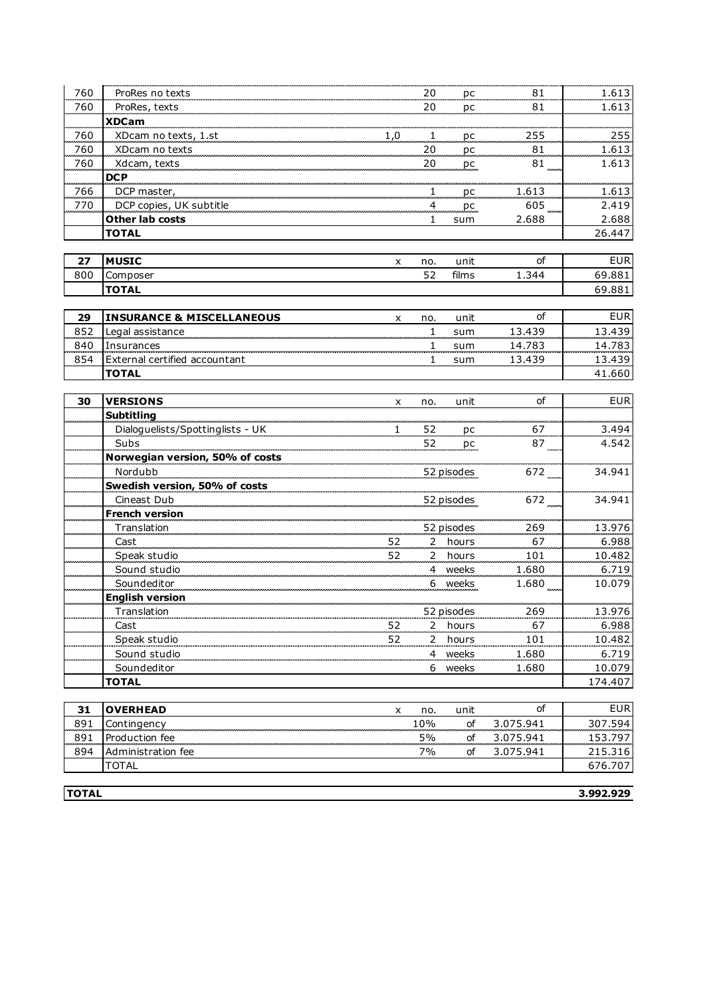| 760        | ProRes no texts                             |              | 20             | pc         | .81              | 1.613            |
|------------|---------------------------------------------|--------------|----------------|------------|------------------|------------------|
| 760        | ProRes, texts                               |              | 20             | pc         | 81               | 1.613            |
|            | <b>XDCam</b>                                |              |                |            |                  |                  |
| 760        | XDcam no texts, 1.st                        | 1,0          | 1              | рc         | 255              | 255              |
| 760        | XDcam no texts                              |              | 20             | рc         | 81               | 1.613            |
| 760        | Xdcam, texts                                |              | 20             | pc         | 81               | 1.613            |
|            | <b>DCP</b>                                  |              |                |            |                  |                  |
| 766        | DCP master,                                 |              | $\overline{1}$ | рc         | 1.613            | 1.613            |
| 770        | DCP copies, UK subtitle                     |              | $\overline{4}$ | pc         | 605              | 2.419            |
|            | Other lab costs                             |              | 1              | sum        | 2.688            | 2.688            |
|            | <b>TOTAL</b>                                |              |                |            |                  | 26.447           |
|            |                                             |              |                |            |                  |                  |
| 27         | <b>MUSIC</b>                                | x            | no.            | unit       | οf               | <b>EUR</b>       |
| 800        | Composer                                    |              | 52             | films      | 1.344            | 69.881           |
|            | <b>TOTAL</b>                                |              |                |            |                  | 69.881           |
|            |                                             |              |                |            |                  |                  |
| 29         | <b>INSURANCE &amp; MISCELLANEOUS</b>        | x            | no.            | unit       | οf               | <b>EUR</b>       |
| 852        | Legal assistance                            |              | $\mathbf{1}$   | sum        | 13.439           | 13.439           |
| 840<br>854 | Insurances<br>External certified accountant |              | 1              | sum        | 14.783<br>13.439 | 14.783<br>13.439 |
|            | <b>TOTAL</b>                                |              | 1              | sum        |                  | 41.660           |
|            |                                             |              |                |            |                  |                  |
| 30         | <b>VERSIONS</b>                             | X            | no.            | unit       | οf               | <b>EUR</b>       |
|            | <b>Subtitling</b>                           |              |                |            |                  |                  |
|            | Dialoguelists/Spottinglists - UK            | $\mathbf{1}$ | 52             | pc         | 67               | 3.494            |
|            | Subs                                        |              | 52             | рc         | 87               | 4.542            |
|            | Norwegian version, 50% of costs             |              |                |            |                  |                  |
|            | Nordubb                                     |              |                | 52 pisodes | 672              | 34.941           |
|            | Swedish version, 50% of costs               |              |                |            |                  |                  |
|            | Cineast Dub                                 |              |                | 52 pisodes | 672              | 34.941           |
|            | <b>French version</b>                       |              |                |            |                  |                  |
|            | Translation                                 |              |                | 52 pisodes | 269              | 13.976           |
|            | Cast                                        | 52           |                | 2 hours    | 67               | 6.988            |
|            | Speak studio                                | 52           |                | 2 hours    | 101              | 10.482           |
|            | Sound studio                                |              |                | 4 weeks    | 1.680            | 6.719            |
|            | Soundeditor                                 |              |                | 6 weeks    | 1.680            | 10.079           |
|            | <b>English version</b>                      |              |                |            |                  |                  |
|            | Translation                                 |              |                | 52 pisodes | 269              | 13.976           |
|            | Cast                                        | 52           |                | 2 hours    | 67               | 6.988            |
|            | Speak studio                                | 52           |                | 2 hours    | 101              | 10.482           |
|            | Sound studio                                |              |                | 4 weeks    | 1.680            | 6.719            |
|            | Soundeditor                                 |              |                | 6 weeks    | 1.680            | 10.079           |
|            | <b>TOTAL</b>                                |              |                |            |                  | 174.407          |
| 31         | <b>OVERHEAD</b>                             | x            | no.            | unit       | οf               | <b>EUR</b>       |
| 891        | Contingency                                 |              | 10%            | of         | 3.075.941        | 307.594          |
| 891        | Production fee                              |              | 5%             | of         | 3.075.941        | 153.797          |
| 894        | Administration fee                          |              | 7%             | of         | 3.075.941        | 215.316          |
|            | TOTAL                                       |              |                |            |                  | 676.707          |
|            |                                             |              |                |            |                  |                  |

**TOTAL 3.992.929**